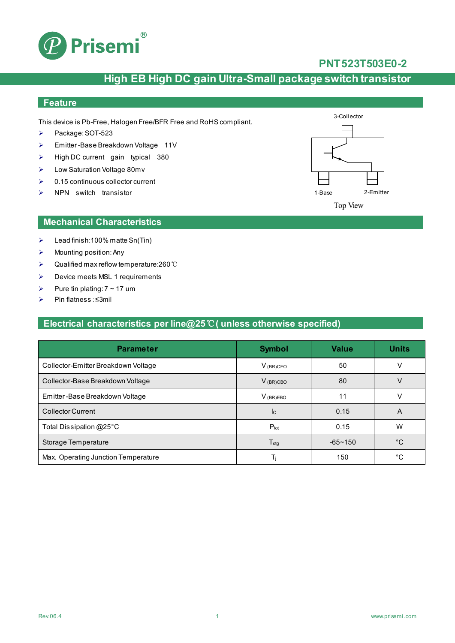

### **PNT523T503E0-2**

## **High EB High DC gain Ultra-Small package switch transistor**

#### **Feature**

This device is Pb-Free, Halogen Free/BFR Free and RoHS compliant.

- Package: SOT-523
- Emitter -Base Breakdown Voltage 11V
- $\triangleright$  High DC current gain typical 380
- Low Saturation Voltage 80mv
- $\geqslant$  0.15 continuous collector current
- $\triangleright$  NPN switch transistor



## Top View

#### **Mechanical Characteristics**

- $\blacktriangleright$  Lead finish:100% matte Sn(Tin)
- $\triangleright$  Mounting position: Any
- Qualified max reflow temperature:260℃
- $\triangleright$  Device meets MSL 1 requirements
- Pure tin plating:  $7 \sim 17$  um
- Pin flatness:≤3mil

### **Electrical characteristics per line@25**℃**( unless otherwise specified)**

| <b>Parameter</b>                    | <b>Symbol</b>             | <b>Value</b>   | <b>Units</b> |
|-------------------------------------|---------------------------|----------------|--------------|
| Collector-Emitter Breakdown Voltage | $V_{(BR)CEO}$             | 50             |              |
| Collector-Base Breakdown Voltage    | $V_{(BR)CBO}$             | 80             |              |
| Emitter-Base Breakdown Voltage      | $V_{(BR)EBO}$             | 11             | V            |
| <b>Collector Current</b>            | $\mathsf{I}_{\mathsf{C}}$ | 0.15           | A            |
| Total Dissipation @25°C             | $P_{\text{tot}}$          | 0.15           | W            |
| Storage Temperature                 | $T_{\text{stg}}$          | $-65 \sim 150$ | °C           |
| Max. Operating Junction Temperature | Тı                        | 150            | °C           |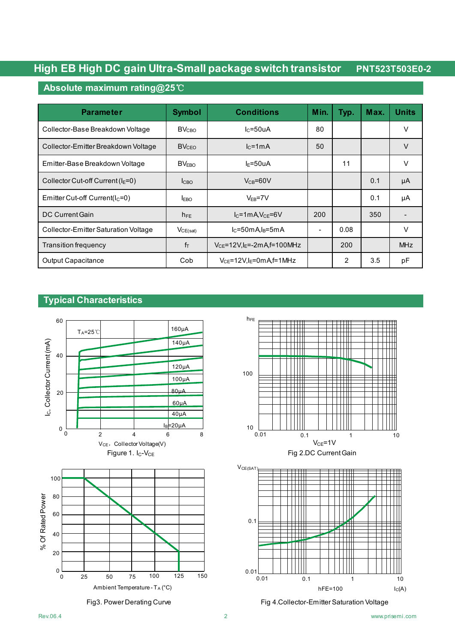#### **Absolute maximum rating@25**℃

| <b>Parameter</b>                     | <b>Symbol</b>           | <b>Conditions</b>                   | Min. | Typ. | Max. | <b>Units</b> |
|--------------------------------------|-------------------------|-------------------------------------|------|------|------|--------------|
| Collector-Base Breakdown Voltage     | <b>BV<sub>CRO</sub></b> | $lc = 50uA$                         | 80   |      |      | V            |
| Collector-Emitter Breakdown Voltage  | <b>BVCEO</b>            | $lc = 1mA$                          | 50   |      |      | $\vee$       |
| Emitter-Base Breakdown Voltage       | BV <sub>EBO</sub>       | l <sub>F</sub> =50uA                |      | 11   |      | $\vee$       |
| Collector Cut-off Current ( $IE=0$ ) | lc <sub>BO</sub>        | $V_{CB} = 60V$                      |      |      | 0.1  | μA           |
| Emitter Cut-off Current( $lC=0$ )    | <b>LEBO</b>             | $V_{EB} = 7V$                       |      |      | 0.1  | μA           |
| DC Current Gain                      | $h_{FE}$                | $I_{C}$ =1mA, $V_{CE}$ =6V          | 200  |      | 350  |              |
| Collector-Emitter Saturation Voltage | $V_{CE(sat)}$           | $IC=50mA1B=5mA$                     |      | 0.08 |      | V            |
| Transition frequency                 | $f_T$                   | $V_{CE}$ =12V,l $_E$ =-2mA,f=100MHz |      | 200  |      | <b>MHz</b>   |
| <b>Output Capacitance</b>            | Cob                     | $V_{CF}$ =12V.I $_F$ =0mAf=1MHz     |      | 2    | 3.5  | рF           |

## **Typical Characteristics**









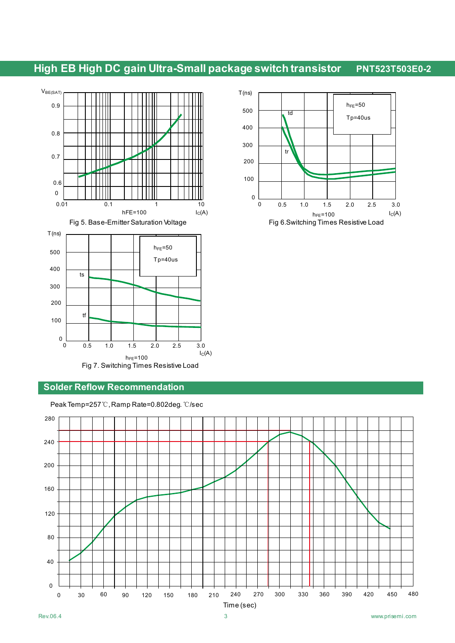

#### **Solder Reflow Recommendation**

Peak Temp=257℃, Ramp Rate=0.802deg.℃/sec



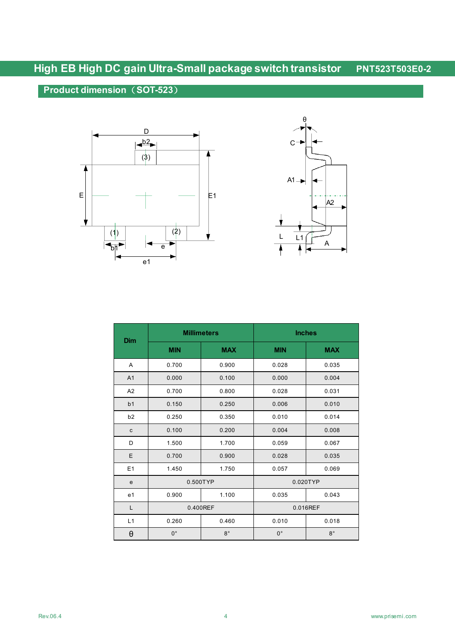## **Product dimension**(**SOT-523**)





| Dim            |             | <b>Millimeters</b> | <b>Inches</b> |             |  |
|----------------|-------------|--------------------|---------------|-------------|--|
|                | <b>MIN</b>  | <b>MAX</b>         | <b>MIN</b>    | <b>MAX</b>  |  |
| A              | 0.700       | 0.900              | 0.028         | 0.035       |  |
| A <sub>1</sub> | 0.000       | 0.100              | 0.000         | 0.004       |  |
| A2             | 0.700       | 0.800              | 0.028         | 0.031       |  |
| b <sub>1</sub> | 0.150       | 0.250              | 0.006         | 0.010       |  |
| b2             | 0.250       | 0.350              | 0.010         | 0.014       |  |
| $\mathbf{C}$   | 0.100       | 0.200              | 0.004         | 0.008       |  |
| D              | 1.500       | 1.700              | 0.059         | 0.067       |  |
| Ε              | 0.700       | 0.900              | 0.028         | 0.035       |  |
| E1             | 1.450       | 1.750              | 0.057         | 0.069       |  |
| e              | 0.500TYP    |                    | 0.020TYP      |             |  |
| e <sub>1</sub> | 0.900       | 1.100              | 0.035         | 0.043       |  |
| L              | 0.400REF    |                    |               | 0.016REF    |  |
| L1             | 0.260       | 0.460              | 0.010         | 0.018       |  |
| $\theta$       | $0^{\circ}$ | $8^{\circ}$        | $0^{\circ}$   | $8^{\circ}$ |  |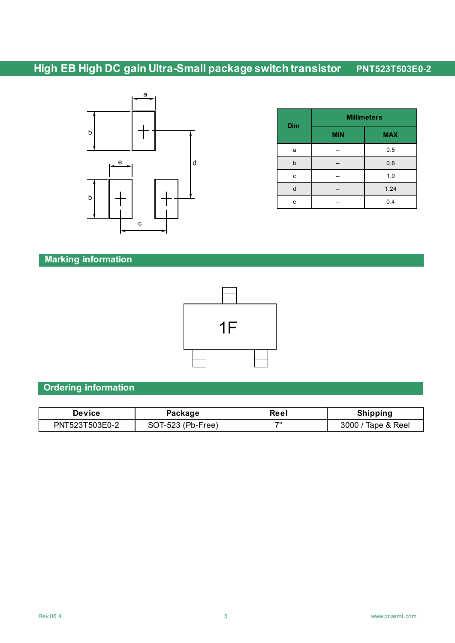

| <b>Dim</b> | <b>Millimeters</b> |            |  |  |
|------------|--------------------|------------|--|--|
|            | <b>MIN</b>         | <b>MAX</b> |  |  |
| a          |                    | 0.5        |  |  |
| b          |                    | 0.6        |  |  |
| c          |                    | 1.0        |  |  |
| d          |                    | 1.24       |  |  |
| e          |                    | 0.4        |  |  |

## **Marking information**



### **Ordering information**

| Device         | Package           | Reel | <b>Shipping</b>    |
|----------------|-------------------|------|--------------------|
| PNT523T503E0-2 | SOT-523 (Pb-Free) | 70   | 3000 / Tape & Reel |